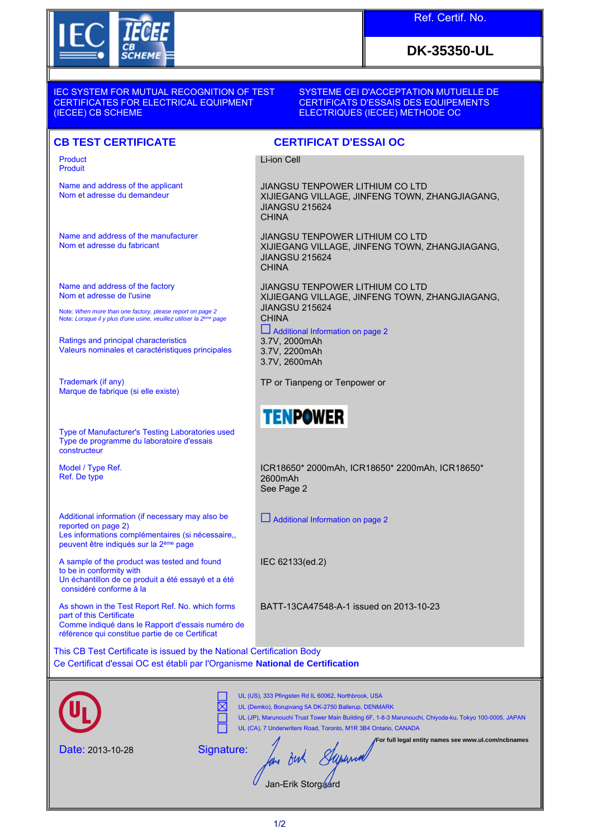

# Ref. Certif. No.

# **DK-35350-UL**

IEC SYSTEM FOR MUTUAL RECOGNITION OF TEST CERTIFICATES FOR ELECTRICAL EQUIPMENT (IECEE) CB SCHEME

#### SYSTEME CEI D'ACCEPTATION MUTUELLE DE CERTIFICATS D'ESSAIS DES EQUIPEMENTS ELECTRIQUES (IECEE) METHODE OC

### **CB TEST CERTIFICATE CERTIFICAT D'ESSAI OC**

Product Produit

Name and address of the applicant Nom et adresse du demandeur

Name and address of the manufacturer Nom et adresse du fabricant

Name and address of the factory Nom et adresse de l'usine

Note: *When more than one factory, please report on page 2*<br>Note: *Lorsque il y plus d'une usine, veuillez utiliser la 2<sup>ème</sup> page* 

Ratings and principal characteristics Valeurs nominales et caractéristiques principales

Trademark (if any) Marque de fabrique (si elle existe)

Type of Manufacturer's Testing Laboratories used Type de programme du laboratoire d'essais constructeur

Model / Type Ref. Ref. De type

Additional information (if necessary may also be reported on page 2) Les informations complémentaires (si nécessaire,, peuvent être indiqués sur la 2ème page

A sample of the product was tested and found to be in conformity with Un échantillon de ce produit a été essayé et a été considéré conforme à la

As shown in the Test Report Ref. No. which forms part of this Certificate Comme indiqué dans le Rapport d'essais numéro de référence qui constitue partie de ce Certificat

Li-ion Cell

JIANGSU TENPOWER LITHIUM CO LTD XIJIEGANG VILLAGE, JINFENG TOWN, ZHANGJIAGANG, JIANGSU 215624 **CHINA** 

JIANGSU TENPOWER LITHIUM CO LTD XIJIEGANG VILLAGE, JINFENG TOWN, ZHANGJIAGANG, JIANGSU 215624 **CHINA** 

JIANGSU TENPOWER LITHIUM CO LTD XIJIEGANG VILLAGE, JINFENG TOWN, ZHANGJIAGANG, JIANGSU 215624 **CHINA**  Additional Information on page 2 3.7V, 2000mAh

3.7V, 2200mAh 3.7V, 2600mAh

TP or Tianpeng or Tenpower or



ICR18650\* 2000mAh, ICR18650\* 2200mAh, ICR18650\* 2600mAh See Page 2

Additional Information on page 2

IEC 62133(ed.2)

BATT-13CA47548-A-1 issued on 2013-10-23

This CB Test Certificate is issued by the National Certification Body Ce Certificat d'essai OC est établi par l'Organisme **National de Certification**